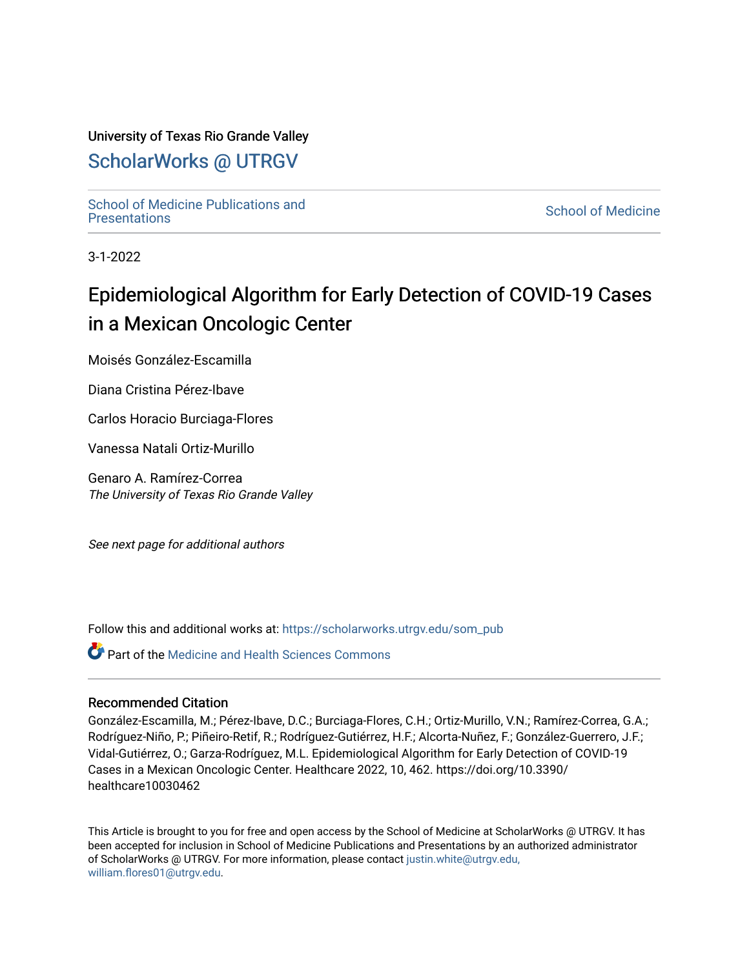# University of Texas Rio Grande Valley

# [ScholarWorks @ UTRGV](https://scholarworks.utrgv.edu/)

School of Medicine Publications and<br>Presentations

**School of Medicine** 

3-1-2022

# Epidemiological Algorithm for Early Detection of COVID-19 Cases in a Mexican Oncologic Center

Moisés González-Escamilla

Diana Cristina Pérez-Ibave

Carlos Horacio Burciaga-Flores

Vanessa Natali Ortiz-Murillo

Genaro A. Ramírez-Correa The University of Texas Rio Grande Valley

See next page for additional authors

Follow this and additional works at: https://scholarworks.utrgv.edu/som\_pub

**Part of the Medicine and Health Sciences Commons** 

## Recommended Citation

González-Escamilla, M.; Pérez-Ibave, D.C.; Burciaga-Flores, C.H.; Ortiz-Murillo, V.N.; Ramírez-Correa, G.A.; Rodríguez-Niño, P.; Piñeiro-Retif, R.; Rodríguez-Gutiérrez, H.F.; Alcorta-Nuñez, F.; González-Guerrero, J.F.; Vidal-Gutiérrez, O.; Garza-Rodríguez, M.L. Epidemiological Algorithm for Early Detection of COVID-19 Cases in a Mexican Oncologic Center. Healthcare 2022, 10, 462. https://doi.org/10.3390/ healthcare10030462

This Article is brought to you for free and open access by the School of Medicine at ScholarWorks @ UTRGV. It has been accepted for inclusion in School of Medicine Publications and Presentations by an authorized administrator of ScholarWorks @ UTRGV. For more information, please contact [justin.white@utrgv.edu,](mailto:justin.white@utrgv.edu,%20william.flores01@utrgv.edu) [william.flores01@utrgv.edu](mailto:justin.white@utrgv.edu,%20william.flores01@utrgv.edu).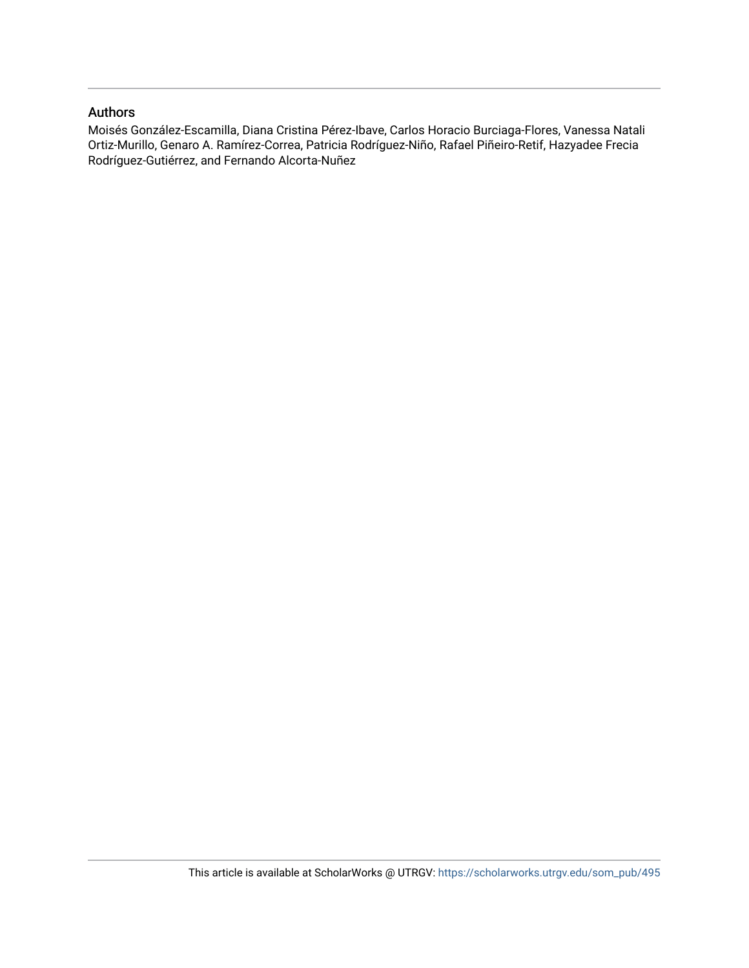## Authors

Moisés González-Escamilla, Diana Cristina Pérez-Ibave, Carlos Horacio Burciaga-Flores, Vanessa Natali Ortiz-Murillo, Genaro A. Ramírez-Correa, Patricia Rodríguez-Niño, Rafael Piñeiro-Retif, Hazyadee Frecia Rodríguez-Gutiérrez, and Fernando Alcorta-Nuñez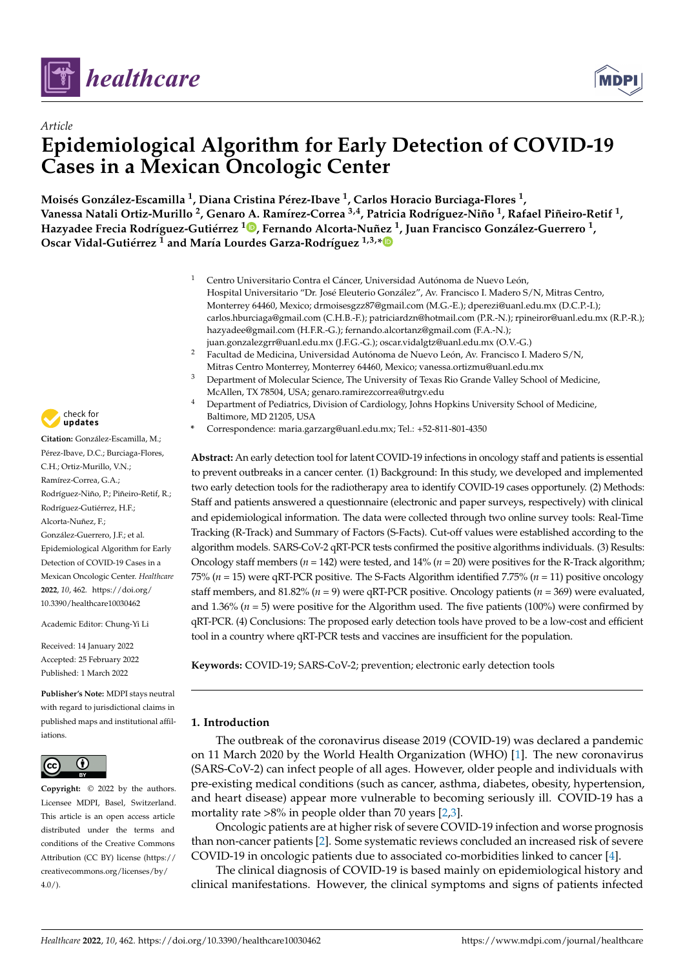



# *Article* **Epidemiological Algorithm for Early Detection of COVID-19 Cases in a Mexican Oncologic Center**

**Moisés González-Escamilla <sup>1</sup> , Diana Cristina Pérez-Ibave <sup>1</sup> , Carlos Horacio Burciaga-Flores <sup>1</sup> , Vanessa Natali Ortiz-Murillo <sup>2</sup> , Genaro A. Ramírez-Correa 3,4, Patricia Rodríguez-Niño <sup>1</sup> , Rafael Piñeiro-Retif <sup>1</sup> , Hazyadee Frecia Rodríguez-Gutiérrez <sup>1</sup> [,](https://orcid.org/0000-0001-5764-4243) Fernando Alcorta-Nuñez <sup>1</sup> , Juan Francisco González-Guerrero <sup>1</sup> , Oscar Vidal-Gutiérrez <sup>1</sup> and María Lourdes Garza-Rodríguez 1,3,[\\*](https://orcid.org/0000-0001-7096-2713)**

- <sup>1</sup> Centro Universitario Contra el Cáncer, Universidad Autónoma de Nuevo León, Hospital Universitario "Dr. José Eleuterio González", Av. Francisco I. Madero S/N, Mitras Centro, Monterrey 64460, Mexico; drmoisesgzz87@gmail.com (M.G.-E.); dperezi@uanl.edu.mx (D.C.P.-I.); carlos.hburciaga@gmail.com (C.H.B.-F.); patriciardzn@hotmail.com (P.R.-N.); rpineiror@uanl.edu.mx (R.P.-R.); hazyadee@gmail.com (H.F.R.-G.); fernando.alcortanz@gmail.com (F.A.-N.); juan.gonzalezgrr@uanl.edu.mx (J.F.G.-G.); oscar.vidalgtz@uanl.edu.mx (O.V.-G.)
	- <sup>2</sup> Facultad de Medicina, Universidad Autónoma de Nuevo León, Av. Francisco I. Madero S/N, Mitras Centro Monterrey, Monterrey 64460, Mexico; vanessa.ortizmu@uanl.edu.mx
- <sup>3</sup> Department of Molecular Science, The University of Texas Rio Grande Valley School of Medicine, McAllen, TX 78504, USA; genaro.ramirezcorrea@utrgv.edu
- <sup>4</sup> Department of Pediatrics, Division of Cardiology, Johns Hopkins University School of Medicine, Baltimore, MD 21205, USA
- **\*** Correspondence: maria.garzarg@uanl.edu.mx; Tel.: +52-811-801-4350

**Abstract:** An early detection tool for latent COVID-19 infections in oncology staff and patients is essential to prevent outbreaks in a cancer center. (1) Background: In this study, we developed and implemented two early detection tools for the radiotherapy area to identify COVID-19 cases opportunely. (2) Methods: Staff and patients answered a questionnaire (electronic and paper surveys, respectively) with clinical and epidemiological information. The data were collected through two online survey tools: Real-Time Tracking (R-Track) and Summary of Factors (S-Facts). Cut-off values were established according to the algorithm models. SARS-CoV-2 qRT-PCR tests confirmed the positive algorithms individuals. (3) Results: Oncology staff members ( $n = 142$ ) were tested, and  $14\%$  ( $n = 20$ ) were positives for the R-Track algorithm; 75% (*n* = 15) were qRT-PCR positive. The S-Facts Algorithm identified 7.75% (*n* = 11) positive oncology staff members, and 81.82% (*n* = 9) were qRT-PCR positive. Oncology patients (*n* = 369) were evaluated, and 1.36% ( $n = 5$ ) were positive for the Algorithm used. The five patients (100%) were confirmed by qRT-PCR. (4) Conclusions: The proposed early detection tools have proved to be a low-cost and efficient tool in a country where qRT-PCR tests and vaccines are insufficient for the population.

**Keywords:** COVID-19; SARS-CoV-2; prevention; electronic early detection tools

### **1. Introduction**

The outbreak of the coronavirus disease 2019 (COVID-19) was declared a pandemic on 11 March 2020 by the World Health Organization (WHO) [\[1\]](#page-12-0). The new coronavirus (SARS-CoV-2) can infect people of all ages. However, older people and individuals with pre-existing medical conditions (such as cancer, asthma, diabetes, obesity, hypertension, and heart disease) appear more vulnerable to becoming seriously ill. COVID-19 has a mortality rate >8% in people older than 70 years [\[2](#page-12-1)[,3\]](#page-12-2).

Oncologic patients are at higher risk of severe COVID-19 infection and worse prognosis than non-cancer patients [\[2\]](#page-12-1). Some systematic reviews concluded an increased risk of severe COVID-19 in oncologic patients due to associated co-morbidities linked to cancer [\[4\]](#page-12-3).

The clinical diagnosis of COVID-19 is based mainly on epidemiological history and clinical manifestations. However, the clinical symptoms and signs of patients infected



**Citation:** González-Escamilla, M.; Pérez-Ibave, D.C.; Burciaga-Flores, C.H.; Ortiz-Murillo, V.N.; Ramírez-Correa, G.A.; Rodríguez-Niño, P.; Piñeiro-Retif, R.; Rodríguez-Gutiérrez, H.F.; Alcorta-Nuñez, F.; González-Guerrero, J.F.; et al. Epidemiological Algorithm for Early Detection of COVID-19 Cases in a Mexican Oncologic Center. *Healthcare* **2022**, *10*, 462. [https://doi.org/](https://doi.org/10.3390/healthcare10030462) [10.3390/healthcare10030462](https://doi.org/10.3390/healthcare10030462)

Academic Editor: Chung-Yi Li

Received: 14 January 2022 Accepted: 25 February 2022 Published: 1 March 2022

**Publisher's Note:** MDPI stays neutral with regard to jurisdictional claims in published maps and institutional affiliations.



**Copyright:** © 2022 by the authors. Licensee MDPI, Basel, Switzerland. This article is an open access article distributed under the terms and conditions of the Creative Commons Attribution (CC BY) license [\(https://](https://creativecommons.org/licenses/by/4.0/) [creativecommons.org/licenses/by/](https://creativecommons.org/licenses/by/4.0/)  $4.0/$ ).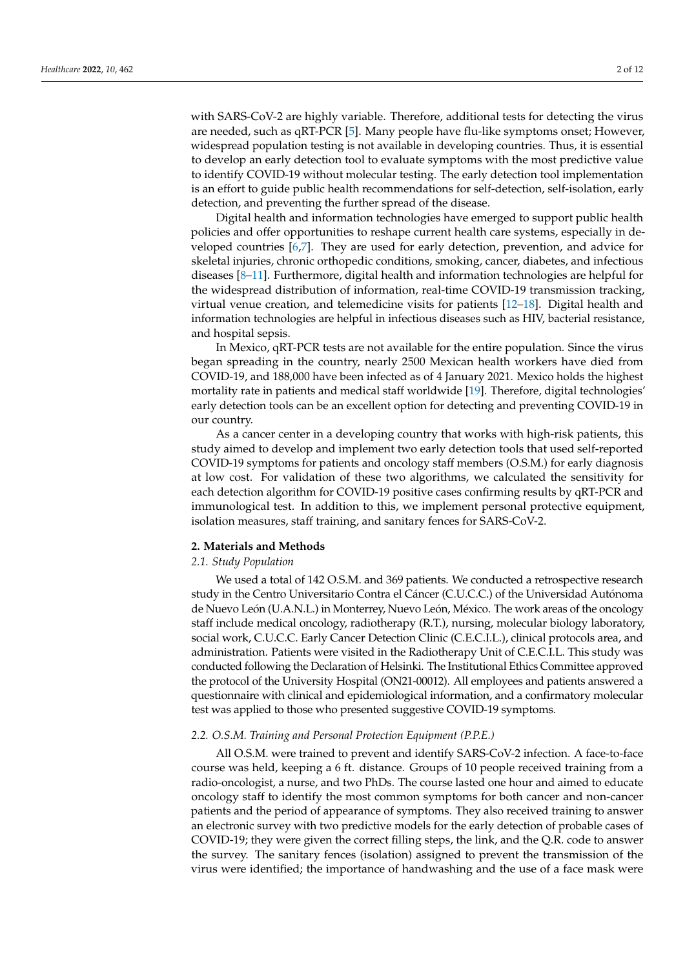with SARS-CoV-2 are highly variable. Therefore, additional tests for detecting the virus are needed, such as qRT-PCR [\[5\]](#page-12-4). Many people have flu-like symptoms onset; However, widespread population testing is not available in developing countries. Thus, it is essential to develop an early detection tool to evaluate symptoms with the most predictive value to identify COVID-19 without molecular testing. The early detection tool implementation is an effort to guide public health recommendations for self-detection, self-isolation, early detection, and preventing the further spread of the disease.

Digital health and information technologies have emerged to support public health policies and offer opportunities to reshape current health care systems, especially in developed countries [\[6](#page-12-5)[,7\]](#page-12-6). They are used for early detection, prevention, and advice for skeletal injuries, chronic orthopedic conditions, smoking, cancer, diabetes, and infectious diseases [\[8–](#page-12-7)[11\]](#page-12-8). Furthermore, digital health and information technologies are helpful for the widespread distribution of information, real-time COVID-19 transmission tracking, virtual venue creation, and telemedicine visits for patients [\[12–](#page-12-9)[18\]](#page-12-10). Digital health and information technologies are helpful in infectious diseases such as HIV, bacterial resistance, and hospital sepsis.

In Mexico, qRT-PCR tests are not available for the entire population. Since the virus began spreading in the country, nearly 2500 Mexican health workers have died from COVID-19, and 188,000 have been infected as of 4 January 2021. Mexico holds the highest mortality rate in patients and medical staff worldwide [\[19\]](#page-12-11). Therefore, digital technologies' early detection tools can be an excellent option for detecting and preventing COVID-19 in our country.

As a cancer center in a developing country that works with high-risk patients, this study aimed to develop and implement two early detection tools that used self-reported COVID-19 symptoms for patients and oncology staff members (O.S.M.) for early diagnosis at low cost. For validation of these two algorithms, we calculated the sensitivity for each detection algorithm for COVID-19 positive cases confirming results by qRT-PCR and immunological test. In addition to this, we implement personal protective equipment, isolation measures, staff training, and sanitary fences for SARS-CoV-2.

#### **2. Materials and Methods**

#### *2.1. Study Population*

We used a total of 142 O.S.M. and 369 patients. We conducted a retrospective research study in the Centro Universitario Contra el Cáncer (C.U.C.C.) of the Universidad Autónoma de Nuevo León (U.A.N.L.) in Monterrey, Nuevo León, México. The work areas of the oncology staff include medical oncology, radiotherapy (R.T.), nursing, molecular biology laboratory, social work, C.U.C.C. Early Cancer Detection Clinic (C.E.C.I.L.), clinical protocols area, and administration. Patients were visited in the Radiotherapy Unit of C.E.C.I.L. This study was conducted following the Declaration of Helsinki. The Institutional Ethics Committee approved the protocol of the University Hospital (ON21-00012). All employees and patients answered a questionnaire with clinical and epidemiological information, and a confirmatory molecular test was applied to those who presented suggestive COVID-19 symptoms.

#### *2.2. O.S.M. Training and Personal Protection Equipment (P.P.E.)*

All O.S.M. were trained to prevent and identify SARS-CoV-2 infection. A face-to-face course was held, keeping a 6 ft. distance. Groups of 10 people received training from a radio-oncologist, a nurse, and two PhDs. The course lasted one hour and aimed to educate oncology staff to identify the most common symptoms for both cancer and non-cancer patients and the period of appearance of symptoms. They also received training to answer an electronic survey with two predictive models for the early detection of probable cases of COVID-19; they were given the correct filling steps, the link, and the Q.R. code to answer the survey. The sanitary fences (isolation) assigned to prevent the transmission of the virus were identified; the importance of handwashing and the use of a face mask were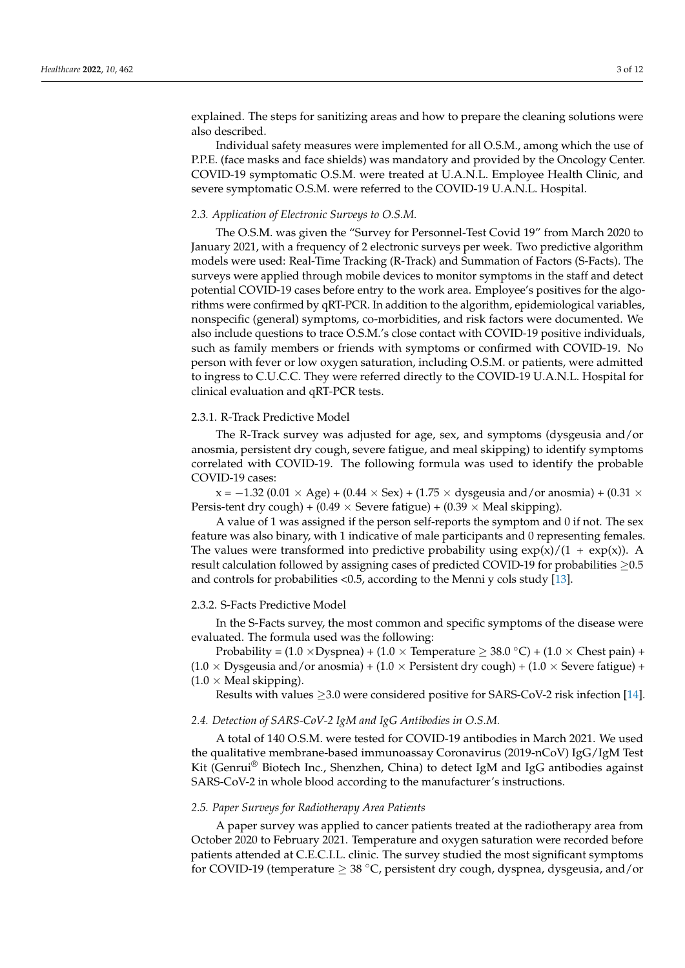explained. The steps for sanitizing areas and how to prepare the cleaning solutions were also described.

Individual safety measures were implemented for all O.S.M., among which the use of P.P.E. (face masks and face shields) was mandatory and provided by the Oncology Center. COVID-19 symptomatic O.S.M. were treated at U.A.N.L. Employee Health Clinic, and severe symptomatic O.S.M. were referred to the COVID-19 U.A.N.L. Hospital.

#### *2.3. Application of Electronic Surveys to O.S.M.*

The O.S.M. was given the "Survey for Personnel-Test Covid 19" from March 2020 to January 2021, with a frequency of 2 electronic surveys per week. Two predictive algorithm models were used: Real-Time Tracking (R-Track) and Summation of Factors (S-Facts). The surveys were applied through mobile devices to monitor symptoms in the staff and detect potential COVID-19 cases before entry to the work area. Employee's positives for the algorithms were confirmed by qRT-PCR. In addition to the algorithm, epidemiological variables, nonspecific (general) symptoms, co-morbidities, and risk factors were documented. We also include questions to trace O.S.M.'s close contact with COVID-19 positive individuals, such as family members or friends with symptoms or confirmed with COVID-19. No person with fever or low oxygen saturation, including O.S.M. or patients, were admitted to ingress to C.U.C.C. They were referred directly to the COVID-19 U.A.N.L. Hospital for clinical evaluation and qRT-PCR tests.

#### 2.3.1. R-Track Predictive Model

The R-Track survey was adjusted for age, sex, and symptoms (dysgeusia and/or anosmia, persistent dry cough, severe fatigue, and meal skipping) to identify symptoms correlated with COVID-19. The following formula was used to identify the probable COVID-19 cases:

 $x = -1.32$  (0.01 × Age) + (0.44 × Sex) + (1.75 × dysgeusia and/or anosmia) + (0.31 × Persis-tent dry cough) + (0.49  $\times$  Severe fatigue) + (0.39  $\times$  Meal skipping).

A value of 1 was assigned if the person self-reports the symptom and 0 if not. The sex feature was also binary, with 1 indicative of male participants and 0 representing females. The values were transformed into predictive probability using  $\exp(x)/(1 + \exp(x))$ . A result calculation followed by assigning cases of predicted COVID-19 for probabilities ≥0.5 and controls for probabilities <0.5, according to the Menni y cols study [\[13\]](#page-12-12).

#### 2.3.2. S-Facts Predictive Model

In the S-Facts survey, the most common and specific symptoms of the disease were evaluated. The formula used was the following:

Probability =  $(1.0 \times \text{Dyspnea}) + (1.0 \times \text{Temperature} \geq 38.0 \degree \text{C}) + (1.0 \times \text{Check pain}) +$  $(1.0 \times \text{Dy}$  s and/or anosmia) +  $(1.0 \times \text{Per}$  sistent dry cough) +  $(1.0 \times \text{Severe}$  fatigue) +  $(1.0 \times$  Meal skipping).

Results with values  $\geq$ 3.0 were considered positive for SARS-CoV-2 risk infection [\[14\]](#page-12-13).

#### *2.4. Detection of SARS-CoV-2 IgM and IgG Antibodies in O.S.M.*

A total of 140 O.S.M. were tested for COVID-19 antibodies in March 2021. We used the qualitative membrane-based immunoassay Coronavirus (2019-nCoV) IgG/IgM Test Kit (Genrui® Biotech Inc., Shenzhen, China) to detect IgM and IgG antibodies against SARS-CoV-2 in whole blood according to the manufacturer's instructions.

#### *2.5. Paper Surveys for Radiotherapy Area Patients*

A paper survey was applied to cancer patients treated at the radiotherapy area from October 2020 to February 2021. Temperature and oxygen saturation were recorded before patients attended at C.E.C.I.L. clinic. The survey studied the most significant symptoms for COVID-19 (temperature  $\geq 38$  °C, persistent dry cough, dyspnea, dysgeusia, and/or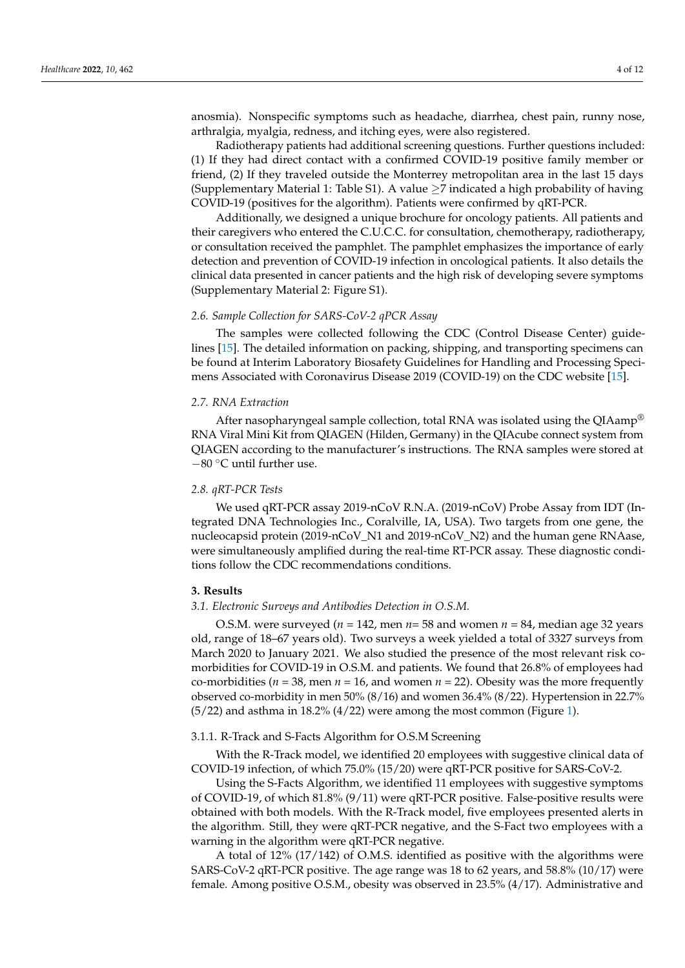anosmia). Nonspecific symptoms such as headache, diarrhea, chest pain, runny nose, arthralgia, myalgia, redness, and itching eyes, were also registered.

Radiotherapy patients had additional screening questions. Further questions included: (1) If they had direct contact with a confirmed COVID-19 positive family member or friend, (2) If they traveled outside the Monterrey metropolitan area in the last 15 days (Supplementary Material 1: Table S1). A value  $\geq$ 7 indicated a high probability of having COVID-19 (positives for the algorithm). Patients were confirmed by qRT-PCR.

Additionally, we designed a unique brochure for oncology patients. All patients and their caregivers who entered the C.U.C.C. for consultation, chemotherapy, radiotherapy, or consultation received the pamphlet. The pamphlet emphasizes the importance of early detection and prevention of COVID-19 infection in oncological patients. It also details the clinical data presented in cancer patients and the high risk of developing severe symptoms (Supplementary Material 2: Figure S1).

#### *2.6. Sample Collection for SARS-CoV-2 qPCR Assay*

The samples were collected following the CDC (Control Disease Center) guidelines [\[15\]](#page-12-14). The detailed information on packing, shipping, and transporting specimens can be found at Interim Laboratory Biosafety Guidelines for Handling and Processing Specimens Associated with Coronavirus Disease 2019 (COVID-19) on the CDC website [\[15\]](#page-12-14).

#### *2.7. RNA Extraction*

After nasopharyngeal sample collection, total RNA was isolated using the QIAamp<sup>®</sup> RNA Viral Mini Kit from QIAGEN (Hilden, Germany) in the QIAcube connect system from QIAGEN according to the manufacturer's instructions. The RNA samples were stored at −80 ◦C until further use.

#### *2.8. qRT-PCR Tests*

We used qRT-PCR assay 2019-nCoV R.N.A. (2019-nCoV) Probe Assay from IDT (Integrated DNA Technologies Inc., Coralville, IA, USA). Two targets from one gene, the nucleocapsid protein (2019-nCoV\_N1 and 2019-nCoV\_N2) and the human gene RNAase, were simultaneously amplified during the real-time RT-PCR assay. These diagnostic conditions follow the CDC recommendations conditions.

#### **3. Results**

#### *3.1. Electronic Surveys and Antibodies Detection in O.S.M.*

O.S.M. were surveyed ( $n = 142$ , men  $n = 58$  and women  $n = 84$ , median age 32 years old, range of 18–67 years old). Two surveys a week yielded a total of 3327 surveys from March 2020 to January 2021. We also studied the presence of the most relevant risk comorbidities for COVID-19 in O.S.M. and patients. We found that 26.8% of employees had co-morbidities ( $n = 38$ , men  $n = 16$ , and women  $n = 22$ ). Obesity was the more frequently observed co-morbidity in men 50% (8/16) and women 36.4% (8/22). Hypertension in 22.7%  $(5/22)$  and asthma in 18.2%  $(4/22)$  were among the most common (Figure [1\)](#page-6-0).

#### 3.1.1. R-Track and S-Facts Algorithm for O.S.M Screening

With the R-Track model, we identified 20 employees with suggestive clinical data of COVID-19 infection, of which 75.0% (15/20) were qRT-PCR positive for SARS-CoV-2.

Using the S-Facts Algorithm, we identified 11 employees with suggestive symptoms of COVID-19, of which 81.8% (9/11) were qRT-PCR positive. False-positive results were obtained with both models. With the R-Track model, five employees presented alerts in the algorithm. Still, they were qRT-PCR negative, and the S-Fact two employees with a warning in the algorithm were qRT-PCR negative.

A total of 12% (17/142) of O.M.S. identified as positive with the algorithms were SARS-CoV-2 qRT-PCR positive. The age range was 18 to 62 years, and 58.8% (10/17) were female. Among positive O.S.M., obesity was observed in 23.5% (4/17). Administrative and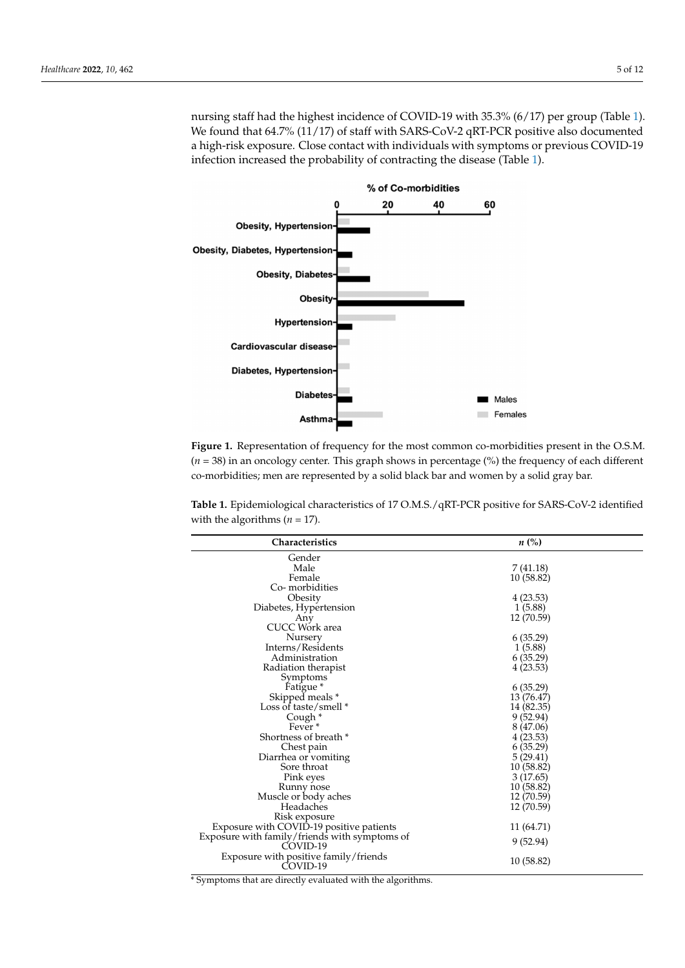nursing staff had the highest incidence of COVID-19 with 35.3% (6/17) per group (Table [1\)](#page-6-1). We found that 64.7% (11/17) of staff with SARS-CoV-2 qRT-PCR positive also documented a high-risk exposure. Close contact with individuals with symptoms or previous COVID-19 infection increased the probability of contracting the disease (Table [1\)](#page-6-1).

<span id="page-6-0"></span>

**Figure 1.** Representation of frequency for the most common co-morbidities present in the O.S.M. (*n*  **Figure 1.** Representation of frequency for the most common co-morbidities present in the O.S.M. (*n* = 38) in an oncology center. This graph shows in percentage (%) the frequency of each different morbidities; men are represented by a solid black bar and women by a solid gray bar. co-morbidities; men are represented by a solid black bar and women by a solid gray bar.

<span id="page-6-1"></span> $3.1.1.4 \text{ F}^{-1}$ ,  $3.1.1 \text{ F}^{-1}$ ,  $3.1.1 \text{ F}^{-1}$ ,  $3.1.0 \text{ F}^{-1}$ **Table 1.** Epidemiological characteristics of 17 O.M.S./qRT-PCR positive for SARS-CoV-2 identified<br>with the algorithma (x = 17) with the algorithms ( $n = 17$ ).

| Characteristics                                           | $n\ (\%)$  |  |
|-----------------------------------------------------------|------------|--|
| Gender                                                    |            |  |
| Male                                                      | 7(41.18)   |  |
| Female                                                    | 10 (58.82) |  |
| Co-morbidities                                            |            |  |
| Obesity                                                   | 4(23.53)   |  |
| Diabetes, Hypertension                                    | 1(5.88)    |  |
| Any                                                       | 12 (70.59) |  |
| CUCC Work area                                            |            |  |
| Nursery                                                   | 6(35.29)   |  |
| Interns/Residents                                         | 1(5.88)    |  |
| Administration                                            | 6(35.29)   |  |
| Radiation therapist                                       | 4(23.53)   |  |
| Symptoms                                                  |            |  |
| Fatigue <sup>*</sup>                                      | 6(35.29)   |  |
| Skipped meals *                                           | 13 (76.47) |  |
| Loss of taste/smell *                                     | 14 (82.35) |  |
| Cough *                                                   | 9(52.94)   |  |
| Fever <sup>*</sup>                                        | 8 (47.06)  |  |
| Shortness of breath *                                     | 4 (23.53)  |  |
| Chest pain                                                | 6(35.29)   |  |
| Diarrhea or vomiting                                      | 5(29.41)   |  |
| Sore throat                                               | 10 (58.82) |  |
| Pink eyes                                                 | 3(17.65)   |  |
| Runny nose                                                | 10 (58.82) |  |
| Muscle or body aches                                      | 12 (70.59) |  |
| Headaches                                                 | 12 (70.59) |  |
| Risk exposure                                             |            |  |
| Exposure with COVID-19 positive patients                  | 11 (64.71) |  |
| Exposure with family/friends with symptoms of<br>COVID-19 | 9 (52.94)  |  |
| Exposure with positive family/friends                     |            |  |
| COVID-19                                                  | 10 (58.82) |  |
| Cymptoms that are directly evaluated with the algorithms. |            |  |

 $\ast$  Symptoms that are directly evaluated with the algorithms.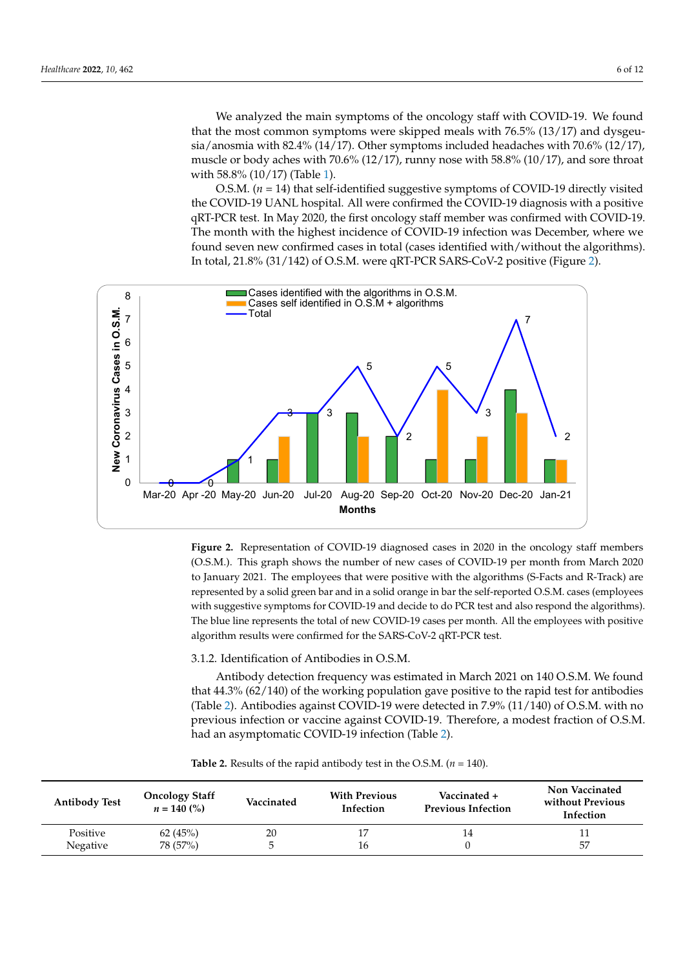We analyzed the main symptoms of the oncology staff with COVID-19. We found that the most common symptoms were skipped meals with 76.5% (13/17) and dysgeusia/anosmia with 82.4% (14/17). Other symptoms included headaches with 70.6% (12/17), muscle or body aches with 70.6% (12/17), runny nose with 58.8% (10/17), and sore throat with 58.8% (10/17) (Table [1\)](#page-6-1).

O.S.M. (*n* = 14) that self-identified suggestive symptoms of COVID-19 directly visited the COVID-19 UANL hospital. All were confirmed the COVID-19 diagnosis with a positive qRT-PCR test. In May 2020, the first oncology staff member was confirmed with COVID-19. The month with the highest incidence of COVID-19 infection was December, where we found seven new confirmed cases in total (cases identified with/without the algorithms). *Healthcare* **2022**, *10*, x 7 of 13 In total, 21.8% (31/142) of O.S.M. were qRT-PCR SARS-CoV-2 positive (Figure [2\)](#page-7-0).

<span id="page-7-0"></span>

**Figure 2.** Representation of COVID-19 diagnosed cases in 2020 in the oncology staff members **Figure 2.** Representation of COVID-19 diagnosed cases in 2020 in the oncology staff members here is graphed shows the number of the number of the number of  $\alpha$  and  $\alpha$ (O.S.M.). This graph shows the number of new cases of COVID-19 per month from March 2020 to January 2021. The employees that were positive with the algorithms (S-Facts and R-Track) are represented by a solid green bar and in a solid orange in bar the self-reported O.S.M. cases (employees with suggestive symptoms for COVID-19 and decide to do PCR test and also respond the algorithms). The blue line represents the total of new COVID-19 cases per month. All the employees with positive algorithm results were confirmed for the SARS-CoV-2  $\rm qRT\text{-PCR}$  test.

3.1.2. Identification of Antibodies in O.S.M.

 $t_{\rm eff}$  (for the working population gave positive positive to the rapid test for antibodies for antibodies for an Antibody detection frequency was estimated in March 2021 on 140 O.S.M. We found that  $44.3\%$  (62/140) of the working population gave positive to the rapid test for antibodies (Table 2). Antibodies against COVID-19 were detected in 7.9% (11/140) of O.S.M. with no had an asymptomatic COVID-19 infection (Table [2\)](#page-7-1). previous infection or vaccine against COVID-19. Therefore, a modest fraction of O.S.M.

| <b>Antibody Test</b> | <b>Oncology Staff</b><br>$n = 140$ (%) | Vaccinated | <b>With Previous</b><br>Infection | Vaccinated +<br><b>Previous Infection</b> | Non Vaccinated<br>without Previous<br>Infection |
|----------------------|----------------------------------------|------------|-----------------------------------|-------------------------------------------|-------------------------------------------------|
| Positive             | 62(45%)                                | 20         | 17                                | 14                                        |                                                 |
| Negative             | 78 (57%)                               | 5          | 16                                |                                           | 57                                              |

<span id="page-7-1"></span>**Table 2.** Results of the rapid antibody test in the O.S.M. ( $n = 140$ ).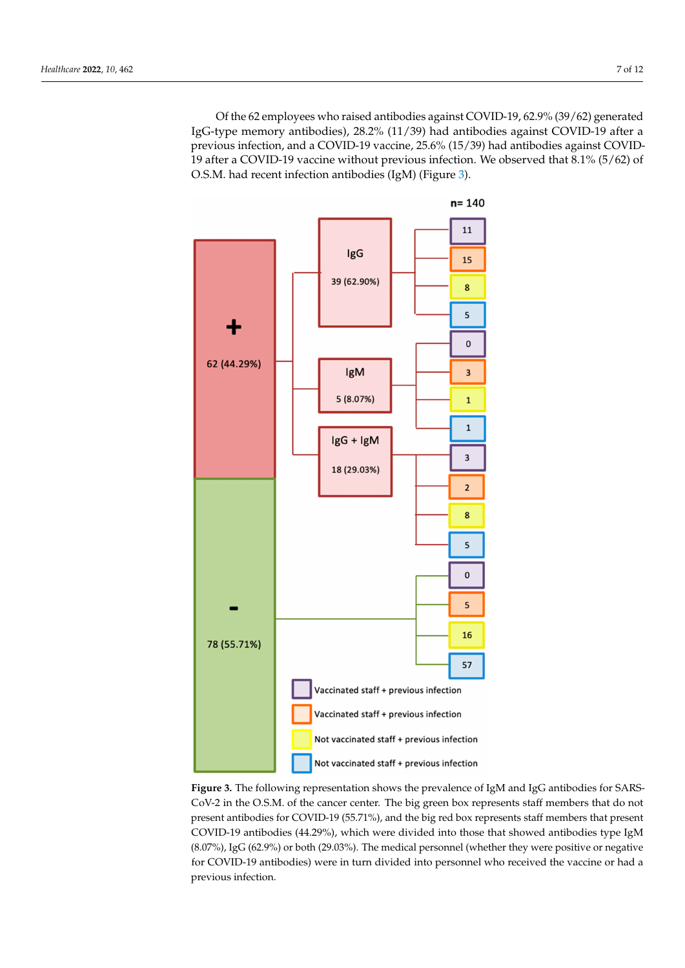Of the 62 employees who raised antibodies against COVID-19, 62.9% (39/62) generated IgG-type memory antibodies), 28.2% (11/39) had antibodies against COVID-19 after a previous infection, and a COVID-19 vaccine, 25.6% (15/39) had antibodies against COVID-19 after a COVID-19 vaccine without previous infection. We observed that 8.1% (5/62) of O.S.M. had recent infection antibodies (IgM) (Figure [3\)](#page-8-0).

<span id="page-8-0"></span>

CoV-2 in the O.S.M. of the cancer center. The big green box represents staff members that do not present antibodies for COVID-19 (55.71%), and the big red box represents staff members that present COVID-19 antibodies (44.29%), which were divided into those that showed antibodies type IgM  $\frac{(9.278)}{16.6000}$  and  $\frac{(4.298)}{16.400000}$  and the those that showed antibodies that showed antibodies that showed antibodies that showed antibodies the those type that showed antibodies the those type that showed an IgM (8.07%), IgG (62.9%) or both (29.03%). The medical personnel (whether they were positive or (8.07%), IgG (62.9%) or both (29.03%). The medical personnel (whether they were positive or negative for COVID-19 antibodies) were in turn divided into personnel who received the vaccine or had a previous infection. **Figure 3.** The following representation shows the prevalence of IgM and IgG antibodies for SARS-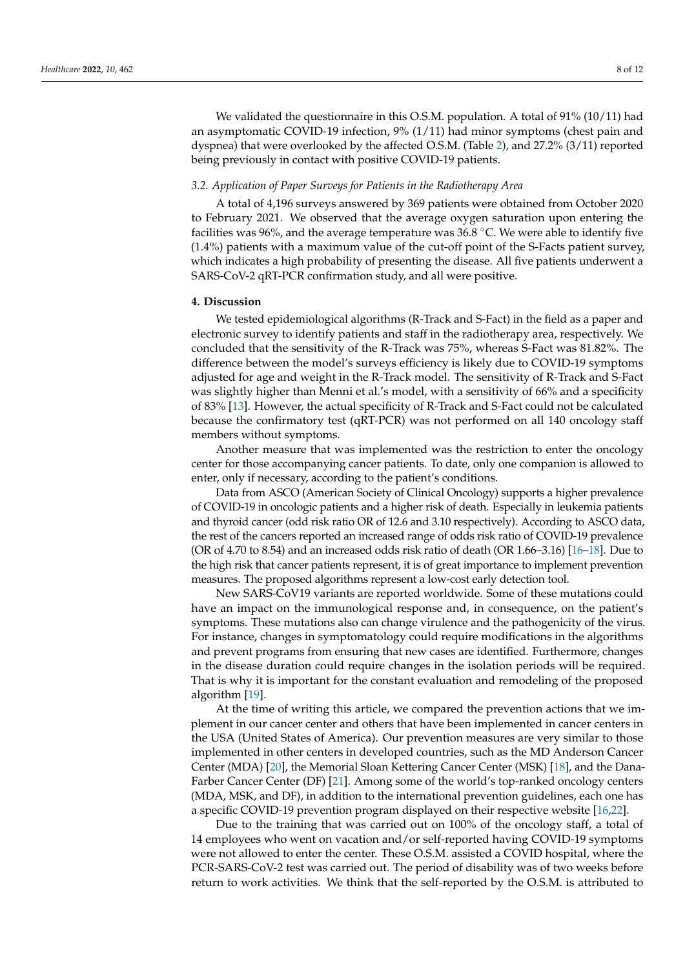We validated the questionnaire in this O.S.M. population. A total of 91% (10/11) had an asymptomatic COVID-19 infection, 9% (1/11) had minor symptoms (chest pain and dyspnea) that were overlooked by the affected O.S.M. (Table [2\)](#page-7-1), and 27.2% (3/11) reported being previously in contact with positive COVID-19 patients.

#### *3.2. Application of Paper Surveys for Patients in the Radiotherapy Area*

A total of 4,196 surveys answered by 369 patients were obtained from October 2020 to February 2021. We observed that the average oxygen saturation upon entering the facilities was 96%, and the average temperature was 36.8 °C. We were able to identify five (1.4%) patients with a maximum value of the cut-off point of the S-Facts patient survey, which indicates a high probability of presenting the disease. All five patients underwent a SARS-CoV-2 qRT-PCR confirmation study, and all were positive.

#### **4. Discussion**

We tested epidemiological algorithms (R-Track and S-Fact) in the field as a paper and electronic survey to identify patients and staff in the radiotherapy area, respectively. We concluded that the sensitivity of the R-Track was 75%, whereas S-Fact was 81.82%. The difference between the model's surveys efficiency is likely due to COVID-19 symptoms adjusted for age and weight in the R-Track model. The sensitivity of R-Track and S-Fact was slightly higher than Menni et al.'s model, with a sensitivity of 66% and a specificity of 83% [\[13\]](#page-12-12). However, the actual specificity of R-Track and S-Fact could not be calculated because the confirmatory test (qRT-PCR) was not performed on all 140 oncology staff members without symptoms.

Another measure that was implemented was the restriction to enter the oncology center for those accompanying cancer patients. To date, only one companion is allowed to enter, only if necessary, according to the patient's conditions.

Data from ASCO (American Society of Clinical Oncology) supports a higher prevalence of COVID-19 in oncologic patients and a higher risk of death. Especially in leukemia patients and thyroid cancer (odd risk ratio OR of 12.6 and 3.10 respectively). According to ASCO data, the rest of the cancers reported an increased range of odds risk ratio of COVID-19 prevalence (OR of 4.70 to 8.54) and an increased odds risk ratio of death (OR 1.66–3.16) [\[16–](#page-12-15)[18\]](#page-12-10). Due to the high risk that cancer patients represent, it is of great importance to implement prevention measures. The proposed algorithms represent a low-cost early detection tool.

New SARS-CoV19 variants are reported worldwide. Some of these mutations could have an impact on the immunological response and, in consequence, on the patient's symptoms. These mutations also can change virulence and the pathogenicity of the virus. For instance, changes in symptomatology could require modifications in the algorithms and prevent programs from ensuring that new cases are identified. Furthermore, changes in the disease duration could require changes in the isolation periods will be required. That is why it is important for the constant evaluation and remodeling of the proposed algorithm [\[19\]](#page-12-11).

At the time of writing this article, we compared the prevention actions that we implement in our cancer center and others that have been implemented in cancer centers in the USA (United States of America). Our prevention measures are very similar to those implemented in other centers in developed countries, such as the MD Anderson Cancer Center (MDA) [\[20\]](#page-12-16), the Memorial Sloan Kettering Cancer Center (MSK) [\[18\]](#page-12-10), and the Dana-Farber Cancer Center (DF) [\[21\]](#page-12-17). Among some of the world's top-ranked oncology centers (MDA, MSK, and DF), in addition to the international prevention guidelines, each one has a specific COVID-19 prevention program displayed on their respective website [\[16](#page-12-15)[,22\]](#page-12-18).

Due to the training that was carried out on 100% of the oncology staff, a total of 14 employees who went on vacation and/or self-reported having COVID-19 symptoms were not allowed to enter the center. These O.S.M. assisted a COVID hospital, where the PCR-SARS-CoV-2 test was carried out. The period of disability was of two weeks before return to work activities. We think that the self-reported by the O.S.M. is attributed to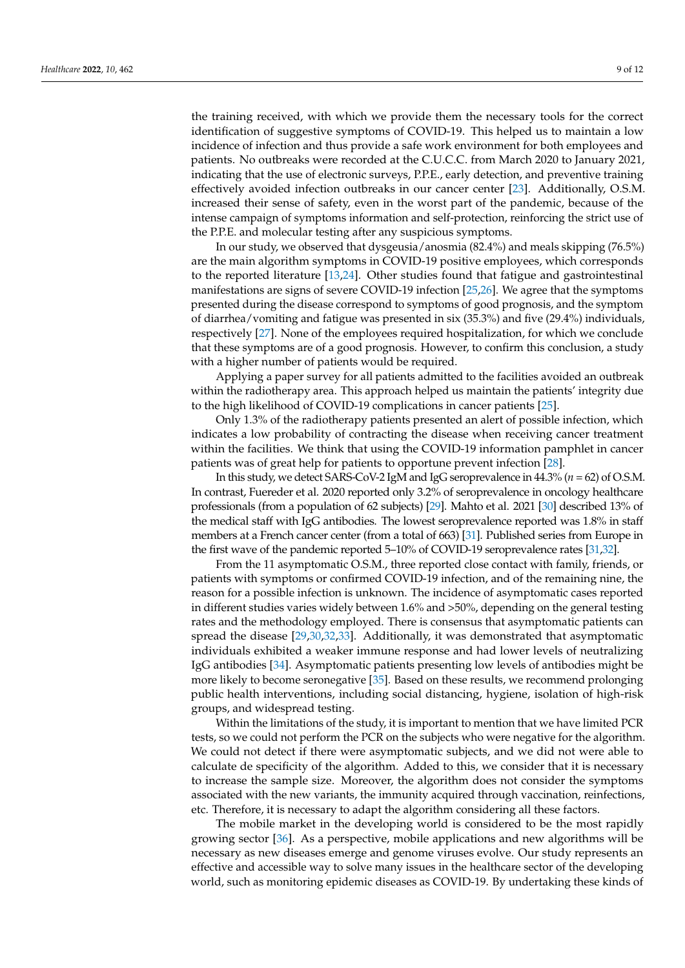the training received, with which we provide them the necessary tools for the correct identification of suggestive symptoms of COVID-19. This helped us to maintain a low incidence of infection and thus provide a safe work environment for both employees and patients. No outbreaks were recorded at the C.U.C.C. from March 2020 to January 2021, indicating that the use of electronic surveys, P.P.E., early detection, and preventive training effectively avoided infection outbreaks in our cancer center [\[23\]](#page-12-19). Additionally, O.S.M. increased their sense of safety, even in the worst part of the pandemic, because of the intense campaign of symptoms information and self-protection, reinforcing the strict use of the P.P.E. and molecular testing after any suspicious symptoms.

In our study, we observed that dysgeusia/anosmia (82.4%) and meals skipping (76.5%) are the main algorithm symptoms in COVID-19 positive employees, which corresponds to the reported literature [\[13,](#page-12-12)[24\]](#page-12-20). Other studies found that fatigue and gastrointestinal manifestations are signs of severe COVID-19 infection [\[25](#page-12-21)[,26\]](#page-12-22). We agree that the symptoms presented during the disease correspond to symptoms of good prognosis, and the symptom of diarrhea/vomiting and fatigue was presented in six (35.3%) and five (29.4%) individuals, respectively [\[27\]](#page-13-0). None of the employees required hospitalization, for which we conclude that these symptoms are of a good prognosis. However, to confirm this conclusion, a study with a higher number of patients would be required.

Applying a paper survey for all patients admitted to the facilities avoided an outbreak within the radiotherapy area. This approach helped us maintain the patients' integrity due to the high likelihood of COVID-19 complications in cancer patients [\[25\]](#page-12-21).

Only 1.3% of the radiotherapy patients presented an alert of possible infection, which indicates a low probability of contracting the disease when receiving cancer treatment within the facilities. We think that using the COVID-19 information pamphlet in cancer patients was of great help for patients to opportune prevent infection [\[28\]](#page-13-1).

In this study, we detect SARS-CoV-2 IgM and IgG seroprevalence in 44.3% (*n* = 62) of O.S.M. In contrast, Fuereder et al. 2020 reported only 3.2% of seroprevalence in oncology healthcare professionals (from a population of 62 subjects) [\[29\]](#page-13-2). Mahto et al. 2021 [\[30\]](#page-13-3) described 13% of the medical staff with IgG antibodies. The lowest seroprevalence reported was 1.8% in staff members at a French cancer center (from a total of 663) [\[31\]](#page-13-4). Published series from Europe in the first wave of the pandemic reported 5–10% of COVID-19 seroprevalence rates [\[31,](#page-13-4)[32\]](#page-13-5).

From the 11 asymptomatic O.S.M., three reported close contact with family, friends, or patients with symptoms or confirmed COVID-19 infection, and of the remaining nine, the reason for a possible infection is unknown. The incidence of asymptomatic cases reported in different studies varies widely between 1.6% and >50%, depending on the general testing rates and the methodology employed. There is consensus that asymptomatic patients can spread the disease [\[29,](#page-13-2)[30,](#page-13-3)[32,](#page-13-5)[33\]](#page-13-6). Additionally, it was demonstrated that asymptomatic individuals exhibited a weaker immune response and had lower levels of neutralizing IgG antibodies [\[34\]](#page-13-7). Asymptomatic patients presenting low levels of antibodies might be more likely to become seronegative [\[35\]](#page-13-8). Based on these results, we recommend prolonging public health interventions, including social distancing, hygiene, isolation of high-risk groups, and widespread testing.

Within the limitations of the study, it is important to mention that we have limited PCR tests, so we could not perform the PCR on the subjects who were negative for the algorithm. We could not detect if there were asymptomatic subjects, and we did not were able to calculate de specificity of the algorithm. Added to this, we consider that it is necessary to increase the sample size. Moreover, the algorithm does not consider the symptoms associated with the new variants, the immunity acquired through vaccination, reinfections, etc. Therefore, it is necessary to adapt the algorithm considering all these factors.

The mobile market in the developing world is considered to be the most rapidly growing sector [\[36\]](#page-13-9). As a perspective, mobile applications and new algorithms will be necessary as new diseases emerge and genome viruses evolve. Our study represents an effective and accessible way to solve many issues in the healthcare sector of the developing world, such as monitoring epidemic diseases as COVID-19. By undertaking these kinds of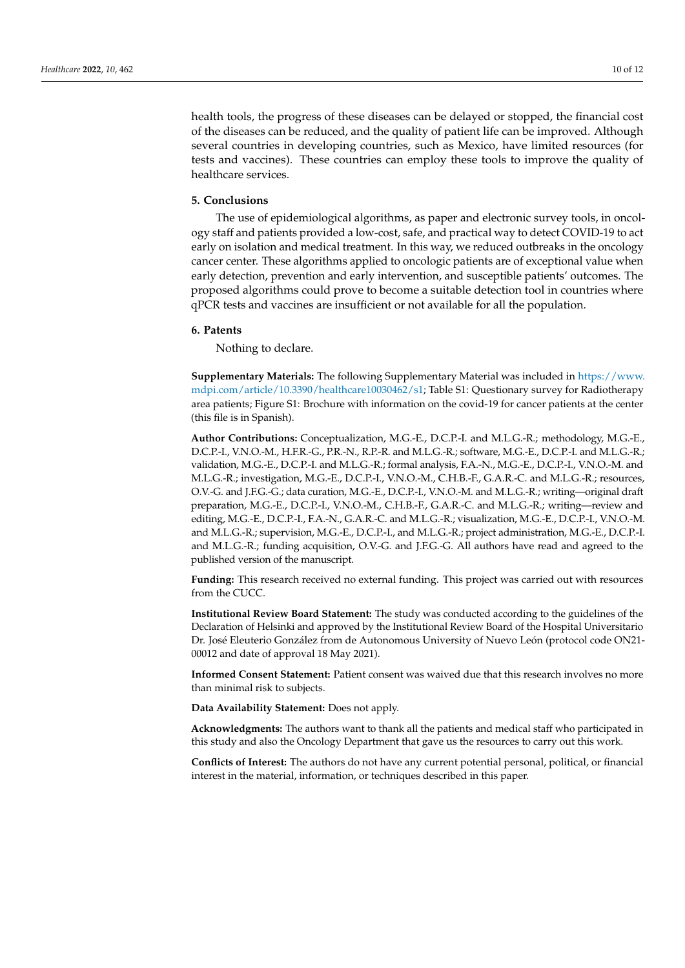health tools, the progress of these diseases can be delayed or stopped, the financial cost of the diseases can be reduced, and the quality of patient life can be improved. Although several countries in developing countries, such as Mexico, have limited resources (for tests and vaccines). These countries can employ these tools to improve the quality of healthcare services.

#### **5. Conclusions**

The use of epidemiological algorithms, as paper and electronic survey tools, in oncology staff and patients provided a low-cost, safe, and practical way to detect COVID-19 to act early on isolation and medical treatment. In this way, we reduced outbreaks in the oncology cancer center. These algorithms applied to oncologic patients are of exceptional value when early detection, prevention and early intervention, and susceptible patients' outcomes. The proposed algorithms could prove to become a suitable detection tool in countries where qPCR tests and vaccines are insufficient or not available for all the population.

#### **6. Patents**

Nothing to declare.

**Supplementary Materials:** The following Supplementary Material was included in [https://www.](https://www.mdpi.com/article/10.3390/healthcare10030462/s1) [mdpi.com/article/10.3390/healthcare10030462/s1;](https://www.mdpi.com/article/10.3390/healthcare10030462/s1) Table S1: Questionary survey for Radiotherapy area patients; Figure S1: Brochure with information on the covid-19 for cancer patients at the center (this file is in Spanish).

**Author Contributions:** Conceptualization, M.G.-E., D.C.P.-I. and M.L.G.-R.; methodology, M.G.-E., D.C.P.-I., V.N.O.-M., H.F.R.-G., P.R.-N., R.P.-R. and M.L.G.-R.; software, M.G.-E., D.C.P.-I. and M.L.G.-R.; validation, M.G.-E., D.C.P.-I. and M.L.G.-R.; formal analysis, F.A.-N., M.G.-E., D.C.P.-I., V.N.O.-M. and M.L.G.-R.; investigation, M.G.-E., D.C.P.-I., V.N.O.-M., C.H.B.-F., G.A.R.-C. and M.L.G.-R.; resources, O.V.-G. and J.F.G.-G.; data curation, M.G.-E., D.C.P.-I., V.N.O.-M. and M.L.G.-R.; writing—original draft preparation, M.G.-E., D.C.P.-I., V.N.O.-M., C.H.B.-F., G.A.R.-C. and M.L.G.-R.; writing—review and editing, M.G.-E., D.C.P.-I., F.A.-N., G.A.R.-C. and M.L.G.-R.; visualization, M.G.-E., D.C.P.-I., V.N.O.-M. and M.L.G.-R.; supervision, M.G.-E., D.C.P.-I., and M.L.G.-R.; project administration, M.G.-E., D.C.P.-I. and M.L.G.-R.; funding acquisition, O.V.-G. and J.F.G.-G. All authors have read and agreed to the published version of the manuscript.

**Funding:** This research received no external funding. This project was carried out with resources from the CUCC.

**Institutional Review Board Statement:** The study was conducted according to the guidelines of the Declaration of Helsinki and approved by the Institutional Review Board of the Hospital Universitario Dr. José Eleuterio González from de Autonomous University of Nuevo León (protocol code ON21- 00012 and date of approval 18 May 2021).

**Informed Consent Statement:** Patient consent was waived due that this research involves no more than minimal risk to subjects.

**Data Availability Statement:** Does not apply.

**Acknowledgments:** The authors want to thank all the patients and medical staff who participated in this study and also the Oncology Department that gave us the resources to carry out this work.

**Conflicts of Interest:** The authors do not have any current potential personal, political, or financial interest in the material, information, or techniques described in this paper.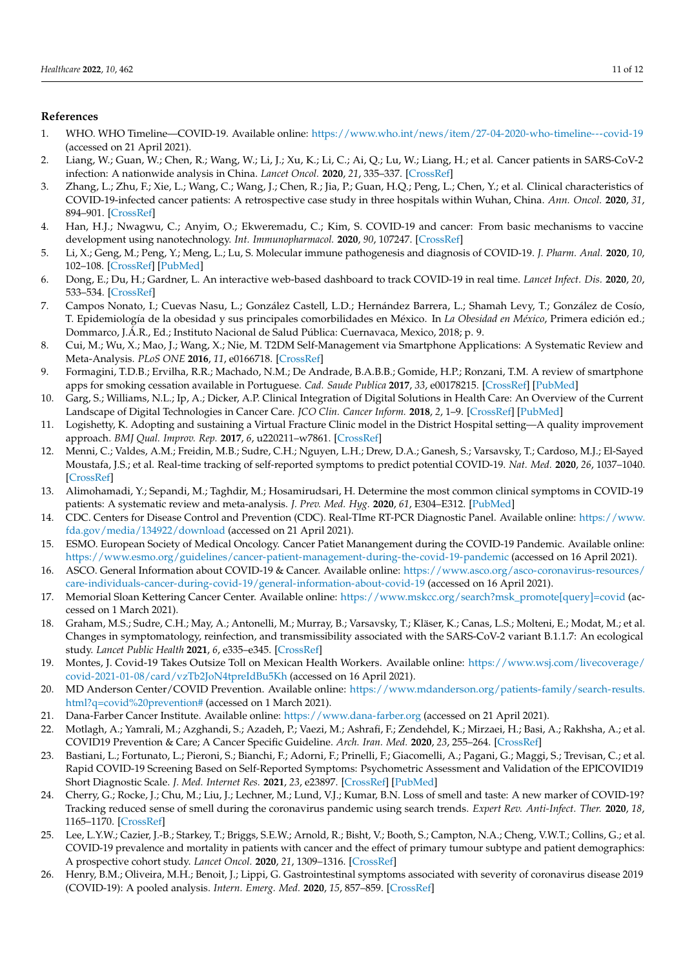#### **References**

- <span id="page-12-0"></span>1. WHO. WHO Timeline—COVID-19. Available online: <https://www.who.int/news/item/27-04-2020-who-timeline---covid-19> (accessed on 21 April 2021).
- <span id="page-12-1"></span>2. Liang, W.; Guan, W.; Chen, R.; Wang, W.; Li, J.; Xu, K.; Li, C.; Ai, Q.; Lu, W.; Liang, H.; et al. Cancer patients in SARS-CoV-2 infection: A nationwide analysis in China. *Lancet Oncol.* **2020**, *21*, 335–337. [\[CrossRef\]](http://doi.org/10.1016/S1470-2045(20)30096-6)
- <span id="page-12-2"></span>3. Zhang, L.; Zhu, F.; Xie, L.; Wang, C.; Wang, J.; Chen, R.; Jia, P.; Guan, H.Q.; Peng, L.; Chen, Y.; et al. Clinical characteristics of COVID-19-infected cancer patients: A retrospective case study in three hospitals within Wuhan, China. *Ann. Oncol.* **2020**, *31*, 894–901. [\[CrossRef\]](http://doi.org/10.1016/j.annonc.2020.03.296)
- <span id="page-12-3"></span>4. Han, H.J.; Nwagwu, C.; Anyim, O.; Ekweremadu, C.; Kim, S. COVID-19 and cancer: From basic mechanisms to vaccine development using nanotechnology. *Int. Immunopharmacol.* **2020**, *90*, 107247. [\[CrossRef\]](http://doi.org/10.1016/j.intimp.2020.107247)
- <span id="page-12-4"></span>5. Li, X.; Geng, M.; Peng, Y.; Meng, L.; Lu, S. Molecular immune pathogenesis and diagnosis of COVID-19. *J. Pharm. Anal.* **2020**, *10*, 102–108. [\[CrossRef\]](http://doi.org/10.1016/j.jpha.2020.03.001) [\[PubMed\]](http://www.ncbi.nlm.nih.gov/pubmed/32282863)
- <span id="page-12-5"></span>6. Dong, E.; Du, H.; Gardner, L. An interactive web-based dashboard to track COVID-19 in real time. *Lancet Infect. Dis.* **2020**, *20*, 533–534. [\[CrossRef\]](http://doi.org/10.1016/S1473-3099(20)30120-1)
- <span id="page-12-6"></span>7. Campos Nonato, I.; Cuevas Nasu, L.; González Castell, L.D.; Hernández Barrera, L.; Shamah Levy, T.; González de Cosío, T. Epidemiología de la obesidad y sus principales comorbilidades en México. In *La Obesidad en México*, Primera edición ed.; Dommarco, J.Á.R., Ed.; Instituto Nacional de Salud Pública: Cuernavaca, Mexico, 2018; p. 9.
- <span id="page-12-7"></span>8. Cui, M.; Wu, X.; Mao, J.; Wang, X.; Nie, M. T2DM Self-Management via Smartphone Applications: A Systematic Review and Meta-Analysis. *PLoS ONE* **2016**, *11*, e0166718. [\[CrossRef\]](http://doi.org/10.1371/journal.pone.0166718)
- 9. Formagini, T.D.B.; Ervilha, R.R.; Machado, N.M.; De Andrade, B.A.B.B.; Gomide, H.P.; Ronzani, T.M. A review of smartphone apps for smoking cessation available in Portuguese. *Cad. Saude Publica* **2017**, *33*, e00178215. [\[CrossRef\]](http://doi.org/10.1590/0102-311x00178215) [\[PubMed\]](http://www.ncbi.nlm.nih.gov/pubmed/28300972)
- 10. Garg, S.; Williams, N.L.; Ip, A.; Dicker, A.P. Clinical Integration of Digital Solutions in Health Care: An Overview of the Current Landscape of Digital Technologies in Cancer Care. *JCO Clin. Cancer Inform.* **2018**, *2*, 1–9. [\[CrossRef\]](http://doi.org/10.1200/CCI.17.00159) [\[PubMed\]](http://www.ncbi.nlm.nih.gov/pubmed/30652580)
- <span id="page-12-8"></span>11. Logishetty, K. Adopting and sustaining a Virtual Fracture Clinic model in the District Hospital setting—A quality improvement approach. *BMJ Qual. Improv. Rep.* **2017**, *6*, u220211–w7861. [\[CrossRef\]](http://doi.org/10.1136/bmjquality.u220211.w7861)
- <span id="page-12-9"></span>12. Menni, C.; Valdes, A.M.; Freidin, M.B.; Sudre, C.H.; Nguyen, L.H.; Drew, D.A.; Ganesh, S.; Varsavsky, T.; Cardoso, M.J.; El-Sayed Moustafa, J.S.; et al. Real-time tracking of self-reported symptoms to predict potential COVID-19. *Nat. Med.* **2020**, *26*, 1037–1040. [\[CrossRef\]](http://doi.org/10.1038/s41591-020-0916-2)
- <span id="page-12-12"></span>13. Alimohamadi, Y.; Sepandi, M.; Taghdir, M.; Hosamirudsari, H. Determine the most common clinical symptoms in COVID-19 patients: A systematic review and meta-analysis. *J. Prev. Med. Hyg.* **2020**, *61*, E304–E312. [\[PubMed\]](http://www.ncbi.nlm.nih.gov/pubmed/33150219)
- <span id="page-12-13"></span>14. CDC. Centers for Disease Control and Prevention (CDC). Real-TIme RT-PCR Diagnostic Panel. Available online: [https://www.](https://www.fda.gov/media/134922/download) [fda.gov/media/134922/download](https://www.fda.gov/media/134922/download) (accessed on 21 April 2021).
- <span id="page-12-14"></span>15. ESMO. European Society of Medical Oncology. Cancer Patiet Manangement during the COVID-19 Pandemic. Available online: <https://www.esmo.org/guidelines/cancer-patient-management-during-the-covid-19-pandemic> (accessed on 16 April 2021).
- <span id="page-12-15"></span>16. ASCO. General Information about COVID-19 & Cancer. Available online: [https://www.asco.org/asco-coronavirus-resources/](https://www.asco.org/asco-coronavirus-resources/care-individuals-cancer-during-covid-19/general-information-about-covid-19) [care-individuals-cancer-during-covid-19/general-information-about-covid-19](https://www.asco.org/asco-coronavirus-resources/care-individuals-cancer-during-covid-19/general-information-about-covid-19) (accessed on 16 April 2021).
- 17. Memorial Sloan Kettering Cancer Center. Available online: [https://www.mskcc.org/search?msk\\_promote\[query\]=covid](https://www.mskcc.org/search?msk_promote[query]=covid) (accessed on 1 March 2021).
- <span id="page-12-10"></span>18. Graham, M.S.; Sudre, C.H.; May, A.; Antonelli, M.; Murray, B.; Varsavsky, T.; Kläser, K.; Canas, L.S.; Molteni, E.; Modat, M.; et al. Changes in symptomatology, reinfection, and transmissibility associated with the SARS-CoV-2 variant B.1.1.7: An ecological study. *Lancet Public Health* **2021**, *6*, e335–e345. [\[CrossRef\]](http://doi.org/10.1016/S2468-2667(21)00055-4)
- <span id="page-12-11"></span>19. Montes, J. Covid-19 Takes Outsize Toll on Mexican Health Workers. Available online: [https://www.wsj.com/livecoverage/](https://www.wsj.com/livecoverage/covid-2021-01-08/card/vzTb2JoN4tpreIdBu5Kh) [covid-2021-01-08/card/vzTb2JoN4tpreIdBu5Kh](https://www.wsj.com/livecoverage/covid-2021-01-08/card/vzTb2JoN4tpreIdBu5Kh) (accessed on 16 April 2021).
- <span id="page-12-16"></span>20. MD Anderson Center/COVID Prevention. Available online: [https://www.mdanderson.org/patients-family/search-results.](https://www.mdanderson.org/patients-family/search-results.html?q=covid%20prevention#) [html?q=covid%20prevention#](https://www.mdanderson.org/patients-family/search-results.html?q=covid%20prevention#) (accessed on 1 March 2021).
- <span id="page-12-17"></span>21. Dana-Farber Cancer Institute. Available online: <https://www.dana-farber.org> (accessed on 21 April 2021).
- <span id="page-12-18"></span>22. Motlagh, A.; Yamrali, M.; Azghandi, S.; Azadeh, P.; Vaezi, M.; Ashrafi, F.; Zendehdel, K.; Mirzaei, H.; Basi, A.; Rakhsha, A.; et al. COVID19 Prevention & Care; A Cancer Specific Guideline. *Arch. Iran. Med.* **2020**, *23*, 255–264. [\[CrossRef\]](http://doi.org/10.34172/aim.2020.07)
- <span id="page-12-19"></span>23. Bastiani, L.; Fortunato, L.; Pieroni, S.; Bianchi, F.; Adorni, F.; Prinelli, F.; Giacomelli, A.; Pagani, G.; Maggi, S.; Trevisan, C.; et al. Rapid COVID-19 Screening Based on Self-Reported Symptoms: Psychometric Assessment and Validation of the EPICOVID19 Short Diagnostic Scale. *J. Med. Internet Res.* **2021**, *23*, e23897. [\[CrossRef\]](http://doi.org/10.2196/23897) [\[PubMed\]](http://www.ncbi.nlm.nih.gov/pubmed/33320825)
- <span id="page-12-20"></span>24. Cherry, G.; Rocke, J.; Chu, M.; Liu, J.; Lechner, M.; Lund, V.J.; Kumar, B.N. Loss of smell and taste: A new marker of COVID-19? Tracking reduced sense of smell during the coronavirus pandemic using search trends. *Expert Rev. Anti-Infect. Ther.* **2020**, *18*, 1165–1170. [\[CrossRef\]](http://doi.org/10.1080/14787210.2020.1792289)
- <span id="page-12-21"></span>25. Lee, L.Y.W.; Cazier, J.-B.; Starkey, T.; Briggs, S.E.W.; Arnold, R.; Bisht, V.; Booth, S.; Campton, N.A.; Cheng, V.W.T.; Collins, G.; et al. COVID-19 prevalence and mortality in patients with cancer and the effect of primary tumour subtype and patient demographics: A prospective cohort study. *Lancet Oncol.* **2020**, *21*, 1309–1316. [\[CrossRef\]](http://doi.org/10.1016/S1470-2045(20)30442-3)
- <span id="page-12-22"></span>26. Henry, B.M.; Oliveira, M.H.; Benoit, J.; Lippi, G. Gastrointestinal symptoms associated with severity of coronavirus disease 2019 (COVID-19): A pooled analysis. *Intern. Emerg. Med.* **2020**, *15*, 857–859. [\[CrossRef\]](http://doi.org/10.1007/s11739-020-02329-9)